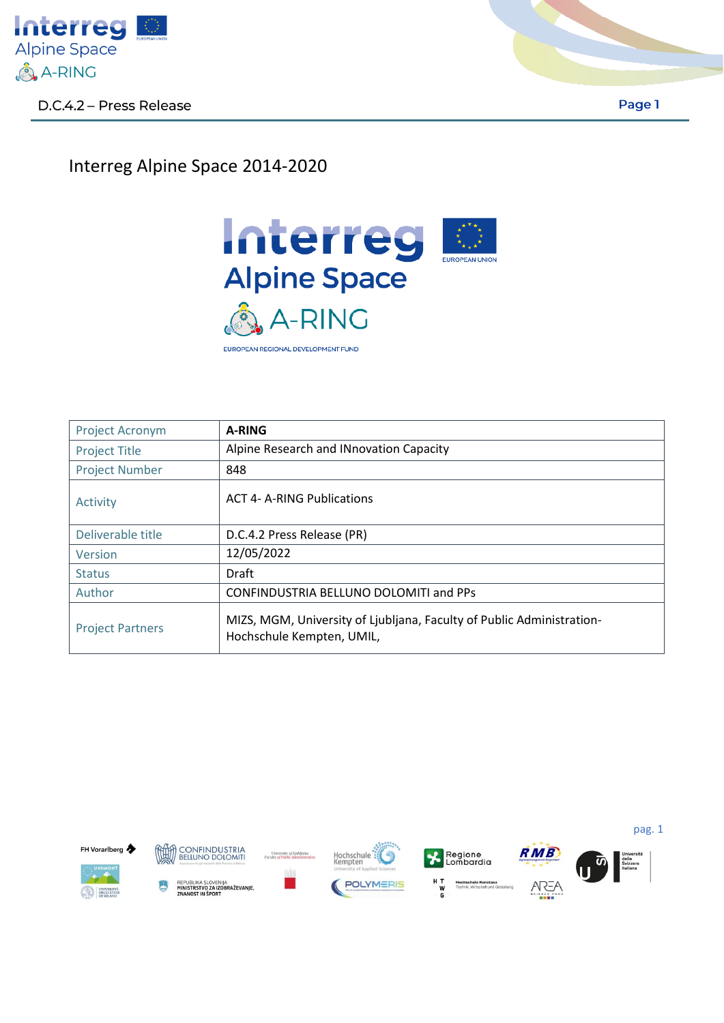

Page 1

## Interreg Alpine Space 2014-2020



| <b>Project Acronym</b>  | <b>A-RING</b>                                                                                      |
|-------------------------|----------------------------------------------------------------------------------------------------|
| <b>Project Title</b>    | Alpine Research and INnovation Capacity                                                            |
| <b>Project Number</b>   | 848                                                                                                |
| Activity                | <b>ACT 4- A-RING Publications</b>                                                                  |
| Deliverable title       | D.C.4.2 Press Release (PR)                                                                         |
| Version                 | 12/05/2022                                                                                         |
| <b>Status</b>           | Draft                                                                                              |
| Author                  | <b>CONFINDUSTRIA BELLUNO DOLOMITI and PPs</b>                                                      |
| <b>Project Partners</b> | MIZS, MGM, University of Ljubljana, Faculty of Public Administration-<br>Hochschule Kempten, UMIL, |



CONFINDUSTRIA<br>BELLUNO DOLOMITI fuith REPUBLIKA SLOVENIJA<br>**MINISTRSTVO ZA IZOBRAŽEVANJE,**<br>ZNANOST IN ŠPORT









pag. 1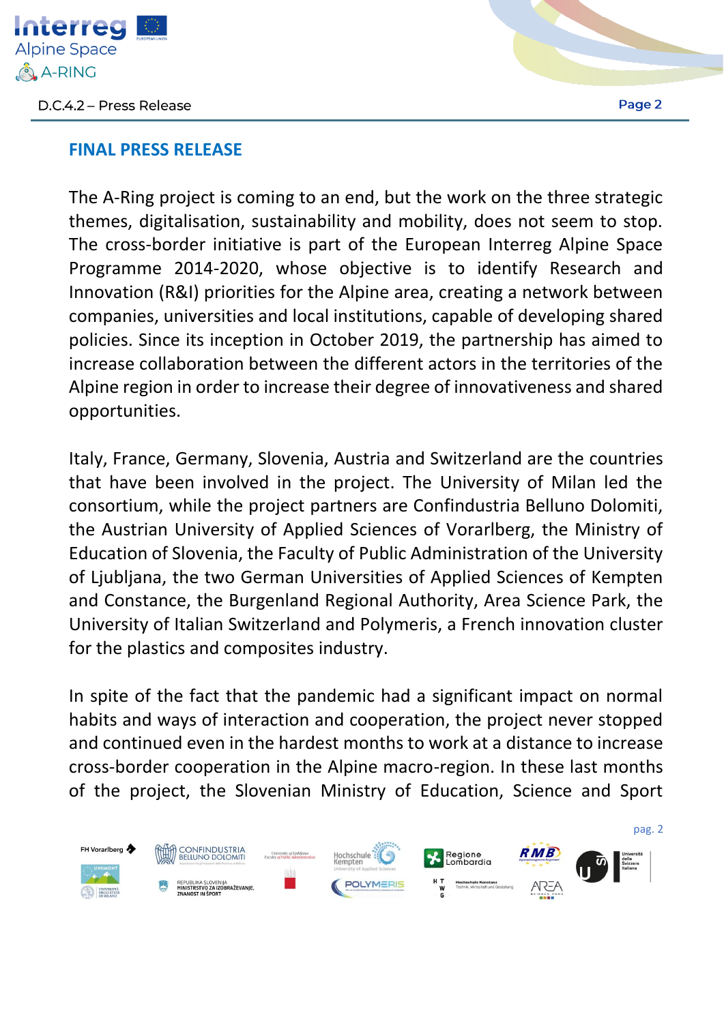

## **FINAL PRESS RELEASE**

The A-Ring project is coming to an end, but the work on the three strategic themes, digitalisation, sustainability and mobility, does not seem to stop. The cross-border initiative is part of the European Interreg Alpine Space Programme 2014-2020, whose objective is to identify Research and Innovation (R&I) priorities for the Alpine area, creating a network between companies, universities and local institutions, capable of developing shared policies. Since its inception in October 2019, the partnership has aimed to increase collaboration between the different actors in the territories of the Alpine region in order to increase their degree of innovativeness and shared opportunities.

Italy, France, Germany, Slovenia, Austria and Switzerland are the countries that have been involved in the project. The University of Milan led the consortium, while the project partners are Confindustria Belluno Dolomiti, the Austrian University of Applied Sciences of Vorarlberg, the Ministry of Education of Slovenia, the Faculty of Public Administration of the University of Ljubljana, the two German Universities of Applied Sciences of Kempten and Constance, the Burgenland Regional Authority, Area Science Park, the University of Italian Switzerland and Polymeris, a French innovation cluster for the plastics and composites industry.

In spite of the fact that the pandemic had a significant impact on normal habits and ways of interaction and cooperation, the project never stopped and continued even in the hardest months to work at a distance to increase cross-border cooperation in the Alpine macro-region. In these last months of the project, the Slovenian Ministry of Education, Science and Sport

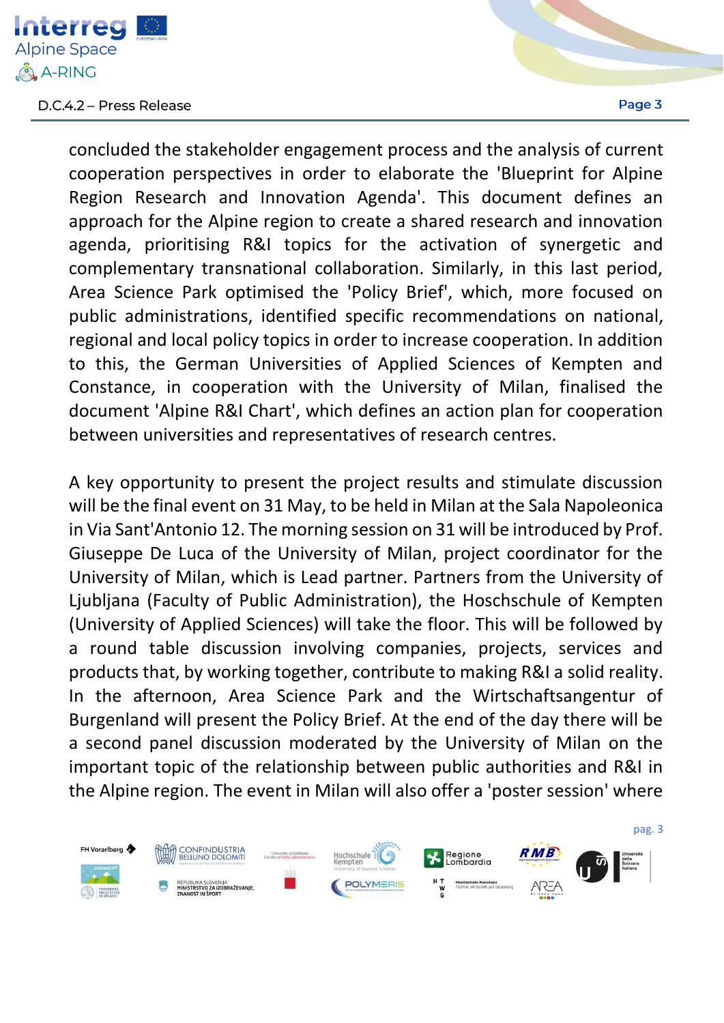

concluded the stakeholder engagement process and the analysis of current cooperation perspectives in order to elaborate the 'Blueprint for Alpine Region Research and Innovation Agenda'. This document defines an approach for the Alpine region to create a shared research and innovation agenda, prioritising R&I topics for the activation of synergetic and complementary transnational collaboration. Similarly, in this last period, Area Science Park optimised the 'Policy Brief', which, more focused on public administrations, identified specific recommendations on national, regional and local policy topics in order to increase cooperation. In addition to this, the German Universities of Applied Sciences of Kempten and Constance, in cooperation with the University of Milan, finalised the document 'Alpine R&I Chart', which defines an action plan for cooperation between universities and representatives of research centres.

A key opportunity to present the project results and stimulate discussion will be the final event on 31 May, to be held in Milan at the Sala Napoleonica in Via Sant'Antonio 12. The morning session on 31 will be introduced by Prof. Giuseppe De Luca of the University of Milan, project coordinator for the University of Milan, which is Lead partner. Partners from the University of Ljubljana (Faculty of Public Administration), the Hoschschule of Kempten (University of Applied Sciences) will take the floor. This will be followed by a round table discussion involving companies, projects, services and products that, by working together, contribute to making R&I a solid reality. In the afternoon, Area Science Park and the Wirtschaftsangentur of Burgenland will present the Policy Brief. At the end of the day there will be a second panel discussion moderated by the University of Milan on the important topic of the relationship between public authorities and R&I in the Alpine region. The event in Milan will also offer a 'poster session' where